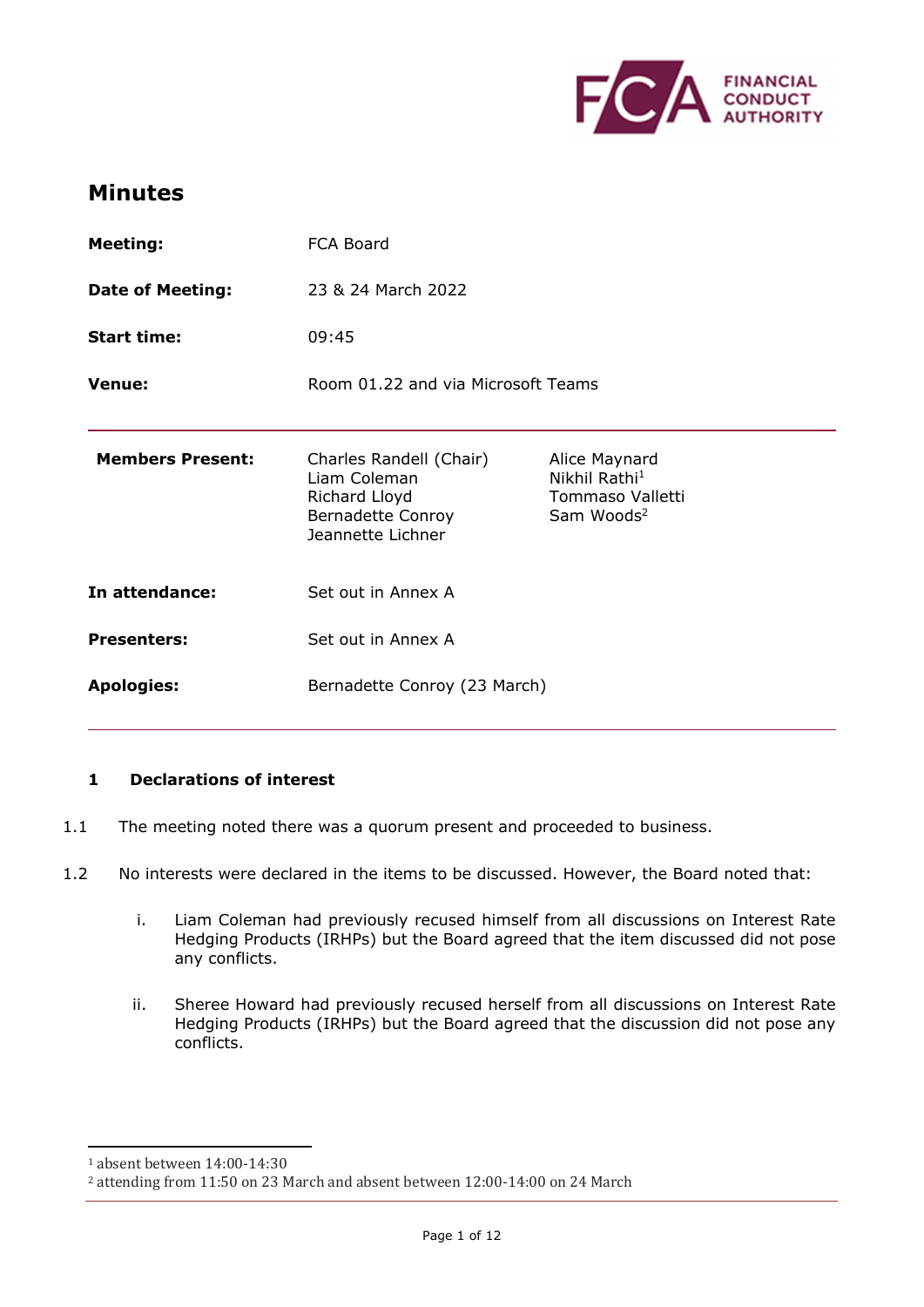

# **Minutes**

| <b>Meeting:</b>         | FCA Board                                                                                          |                                                                                          |
|-------------------------|----------------------------------------------------------------------------------------------------|------------------------------------------------------------------------------------------|
| <b>Date of Meeting:</b> | 23 & 24 March 2022                                                                                 |                                                                                          |
| <b>Start time:</b>      | 09:45                                                                                              |                                                                                          |
| <b>Venue:</b>           | Room 01.22 and via Microsoft Teams                                                                 |                                                                                          |
| <b>Members Present:</b> | Charles Randell (Chair)<br>Liam Coleman<br>Richard Lloyd<br>Bernadette Conroy<br>Jeannette Lichner | Alice Maynard<br>Nikhil Rathi <sup>1</sup><br>Tommaso Valletti<br>Sam Woods <sup>2</sup> |
| In attendance:          | Set out in Annex A                                                                                 |                                                                                          |
| <b>Presenters:</b>      | Set out in Annex A                                                                                 |                                                                                          |
| <b>Apologies:</b>       | Bernadette Conroy (23 March)                                                                       |                                                                                          |

## **1 Declarations of interest**

- 1.1 The meeting noted there was a quorum present and proceeded to business.
- 1.2 No interests were declared in the items to be discussed. However, the Board noted that:
	- i. Liam Coleman had previously recused himself from all discussions on Interest Rate Hedging Products (IRHPs) but the Board agreed that the item discussed did not pose any conflicts.
	- ii. Sheree Howard had previously recused herself from all discussions on Interest Rate Hedging Products (IRHPs) but the Board agreed that the discussion did not pose any conflicts.

<sup>1</sup> absent between 14:00-14:30

<sup>2</sup> attending from 11:50 on 23 March and absent between 12:00-14:00 on 24 March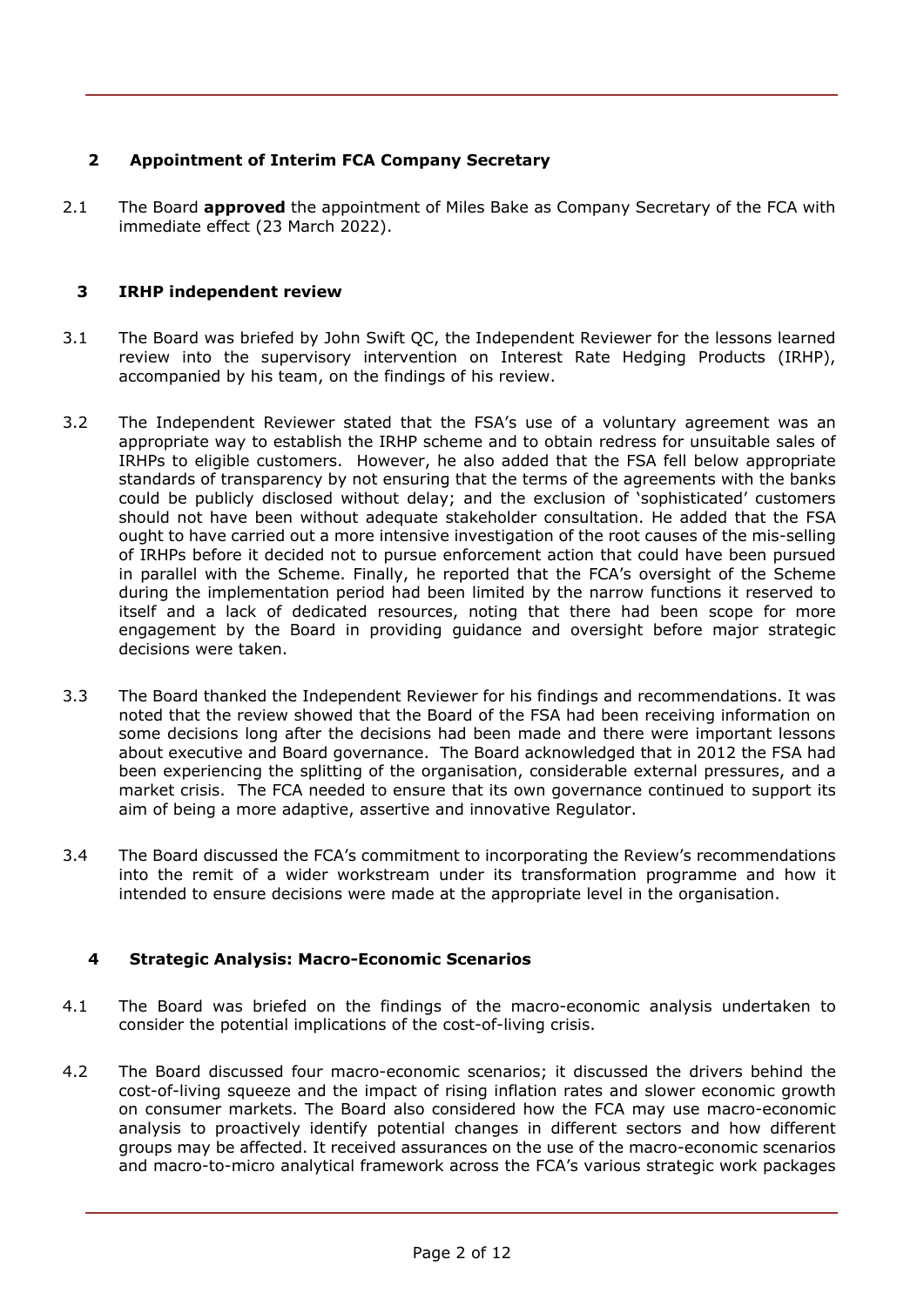## **2 Appointment of Interim FCA Company Secretary**

2.1 The Board **approved** the appointment of Miles Bake as Company Secretary of the FCA with immediate effect (23 March 2022).

## **3 IRHP independent review**

- 3.1 The Board was briefed by John Swift QC, the Independent Reviewer for the lessons learned review into the supervisory intervention on Interest Rate Hedging Products (IRHP), accompanied by his team, on the findings of his review.
- 3.2 The Independent Reviewer stated that the FSA's use of a voluntary agreement was an appropriate way to establish the IRHP scheme and to obtain redress for unsuitable sales of IRHPs to eligible customers. However, he also added that the FSA fell below appropriate standards of transparency by not ensuring that the terms of the agreements with the banks could be publicly disclosed without delay; and the exclusion of 'sophisticated' customers should not have been without adequate stakeholder consultation. He added that the FSA ought to have carried out a more intensive investigation of the root causes of the mis-selling of IRHPs before it decided not to pursue enforcement action that could have been pursued in parallel with the Scheme. Finally, he reported that the FCA's oversight of the Scheme during the implementation period had been limited by the narrow functions it reserved to itself and a lack of dedicated resources, noting that there had been scope for more engagement by the Board in providing guidance and oversight before major strategic decisions were taken.
- 3.3 The Board thanked the Independent Reviewer for his findings and recommendations. It was noted that the review showed that the Board of the FSA had been receiving information on some decisions long after the decisions had been made and there were important lessons about executive and Board governance. The Board acknowledged that in 2012 the FSA had been experiencing the splitting of the organisation, considerable external pressures, and a market crisis. The FCA needed to ensure that its own governance continued to support its aim of being a more adaptive, assertive and innovative Regulator.
- 3.4 The Board discussed the FCA's commitment to incorporating the Review's recommendations into the remit of a wider workstream under its transformation programme and how it intended to ensure decisions were made at the appropriate level in the organisation.

## **4 Strategic Analysis: Macro-Economic Scenarios**

- 4.1 The Board was briefed on the findings of the macro-economic analysis undertaken to consider the potential implications of the cost-of-living crisis.
- 4.2 The Board discussed four macro-economic scenarios; it discussed the drivers behind the cost-of-living squeeze and the impact of rising inflation rates and slower economic growth on consumer markets. The Board also considered how the FCA may use macro-economic analysis to proactively identify potential changes in different sectors and how different groups may be affected. It received assurances on the use of the macro-economic scenarios and macro-to-micro analytical framework across the FCA's various strategic work packages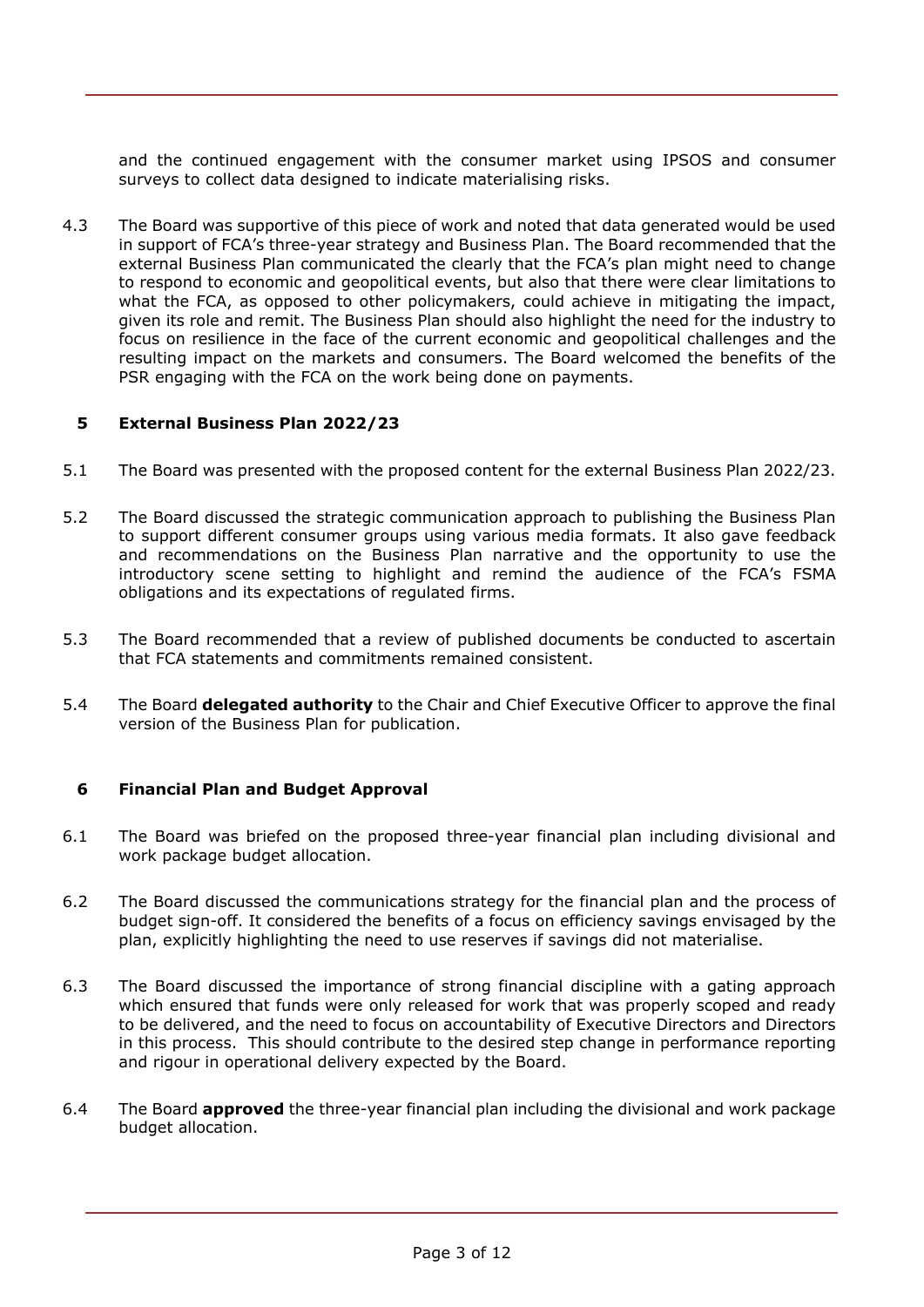and the continued engagement with the consumer market using IPSOS and consumer surveys to collect data designed to indicate materialising risks.

4.3 The Board was supportive of this piece of work and noted that data generated would be used in support of FCA's three-year strategy and Business Plan. The Board recommended that the external Business Plan communicated the clearly that the FCA's plan might need to change to respond to economic and geopolitical events, but also that there were clear limitations to what the FCA, as opposed to other policymakers, could achieve in mitigating the impact, given its role and remit. The Business Plan should also highlight the need for the industry to focus on resilience in the face of the current economic and geopolitical challenges and the resulting impact on the markets and consumers. The Board welcomed the benefits of the PSR engaging with the FCA on the work being done on payments.

### **5 External Business Plan 2022/23**

- 5.1 The Board was presented with the proposed content for the external Business Plan 2022/23.
- 5.2 The Board discussed the strategic communication approach to publishing the Business Plan to support different consumer groups using various media formats. It also gave feedback and recommendations on the Business Plan narrative and the opportunity to use the introductory scene setting to highlight and remind the audience of the FCA's FSMA obligations and its expectations of regulated firms.
- 5.3 The Board recommended that a review of published documents be conducted to ascertain that FCA statements and commitments remained consistent.
- 5.4 The Board **delegated authority** to the Chair and Chief Executive Officer to approve the final version of the Business Plan for publication.

#### **6 Financial Plan and Budget Approval**

- 6.1 The Board was briefed on the proposed three-year financial plan including divisional and work package budget allocation.
- 6.2 The Board discussed the communications strategy for the financial plan and the process of budget sign-off. It considered the benefits of a focus on efficiency savings envisaged by the plan, explicitly highlighting the need to use reserves if savings did not materialise.
- 6.3 The Board discussed the importance of strong financial discipline with a gating approach which ensured that funds were only released for work that was properly scoped and ready to be delivered, and the need to focus on accountability of Executive Directors and Directors in this process. This should contribute to the desired step change in performance reporting and rigour in operational delivery expected by the Board.
- 6.4 The Board **approved** the three-year financial plan including the divisional and work package budget allocation.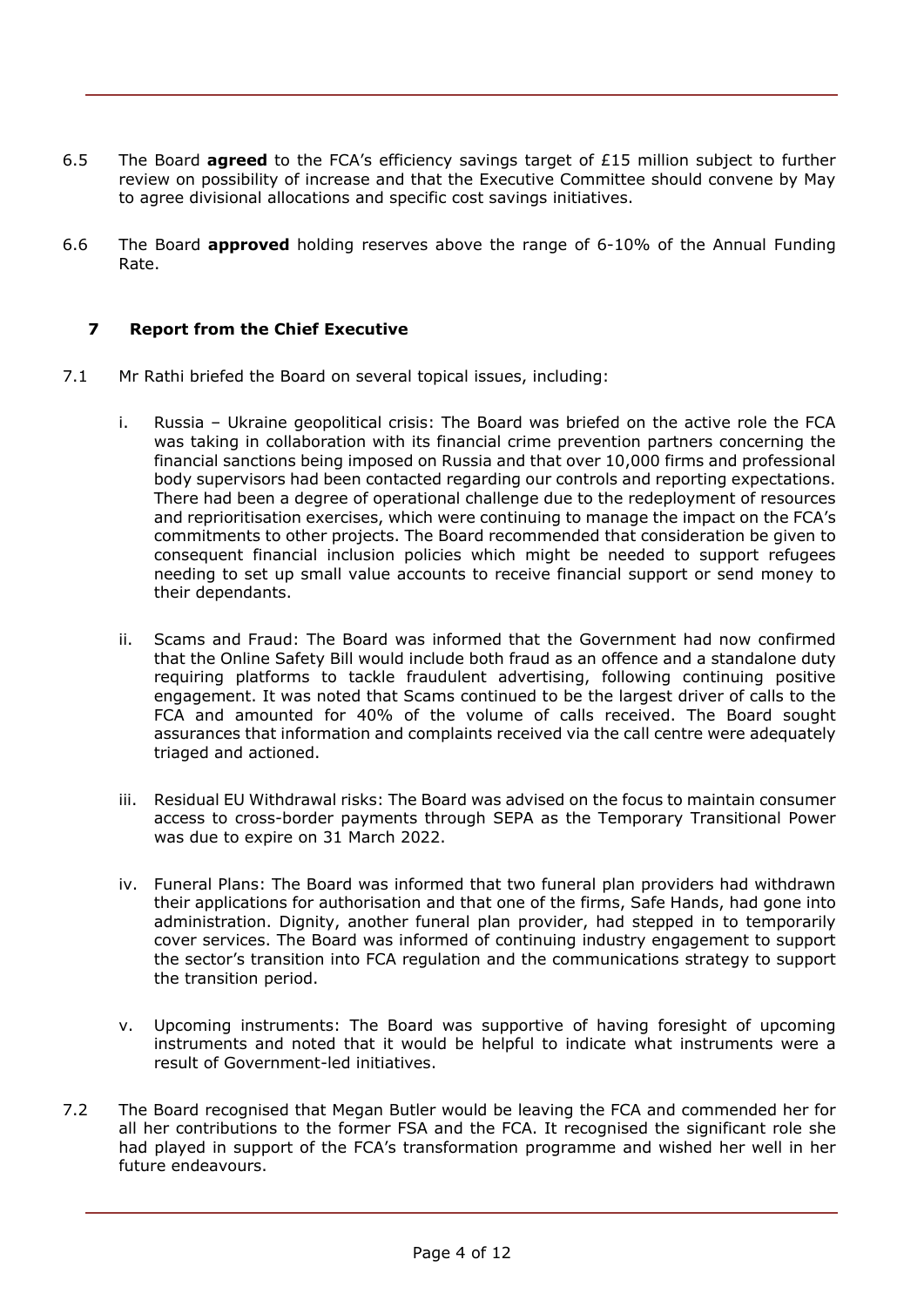- 6.5 The Board **agreed** to the FCA's efficiency savings target of £15 million subject to further review on possibility of increase and that the Executive Committee should convene by May to agree divisional allocations and specific cost savings initiatives.
- 6.6 The Board **approved** holding reserves above the range of 6-10% of the Annual Funding Rate.

## **7 Report from the Chief Executive**

- 7.1 Mr Rathi briefed the Board on several topical issues, including:
	- i. Russia Ukraine geopolitical crisis: The Board was briefed on the active role the FCA was taking in collaboration with its financial crime prevention partners concerning the financial sanctions being imposed on Russia and that over 10,000 firms and professional body supervisors had been contacted regarding our controls and reporting expectations. There had been a degree of operational challenge due to the redeployment of resources and reprioritisation exercises, which were continuing to manage the impact on the FCA's commitments to other projects. The Board recommended that consideration be given to consequent financial inclusion policies which might be needed to support refugees needing to set up small value accounts to receive financial support or send money to their dependants.
	- ii. Scams and Fraud: The Board was informed that the Government had now confirmed that the Online Safety Bill would include both fraud as an offence and a standalone duty requiring platforms to tackle fraudulent advertising, following continuing positive engagement. It was noted that Scams continued to be the largest driver of calls to the FCA and amounted for 40% of the volume of calls received. The Board sought assurances that information and complaints received via the call centre were adequately triaged and actioned.
	- iii. Residual EU Withdrawal risks: The Board was advised on the focus to maintain consumer access to cross-border payments through SEPA as the Temporary Transitional Power was due to expire on 31 March 2022.
	- iv. Funeral Plans: The Board was informed that two funeral plan providers had withdrawn their applications for authorisation and that one of the firms, Safe Hands, had gone into administration. Dignity, another funeral plan provider, had stepped in to temporarily cover services. The Board was informed of continuing industry engagement to support the sector's transition into FCA regulation and the communications strategy to support the transition period.
	- v. Upcoming instruments: The Board was supportive of having foresight of upcoming instruments and noted that it would be helpful to indicate what instruments were a result of Government-led initiatives.
- 7.2 The Board recognised that Megan Butler would be leaving the FCA and commended her for all her contributions to the former FSA and the FCA. It recognised the significant role she had played in support of the FCA's transformation programme and wished her well in her future endeavours.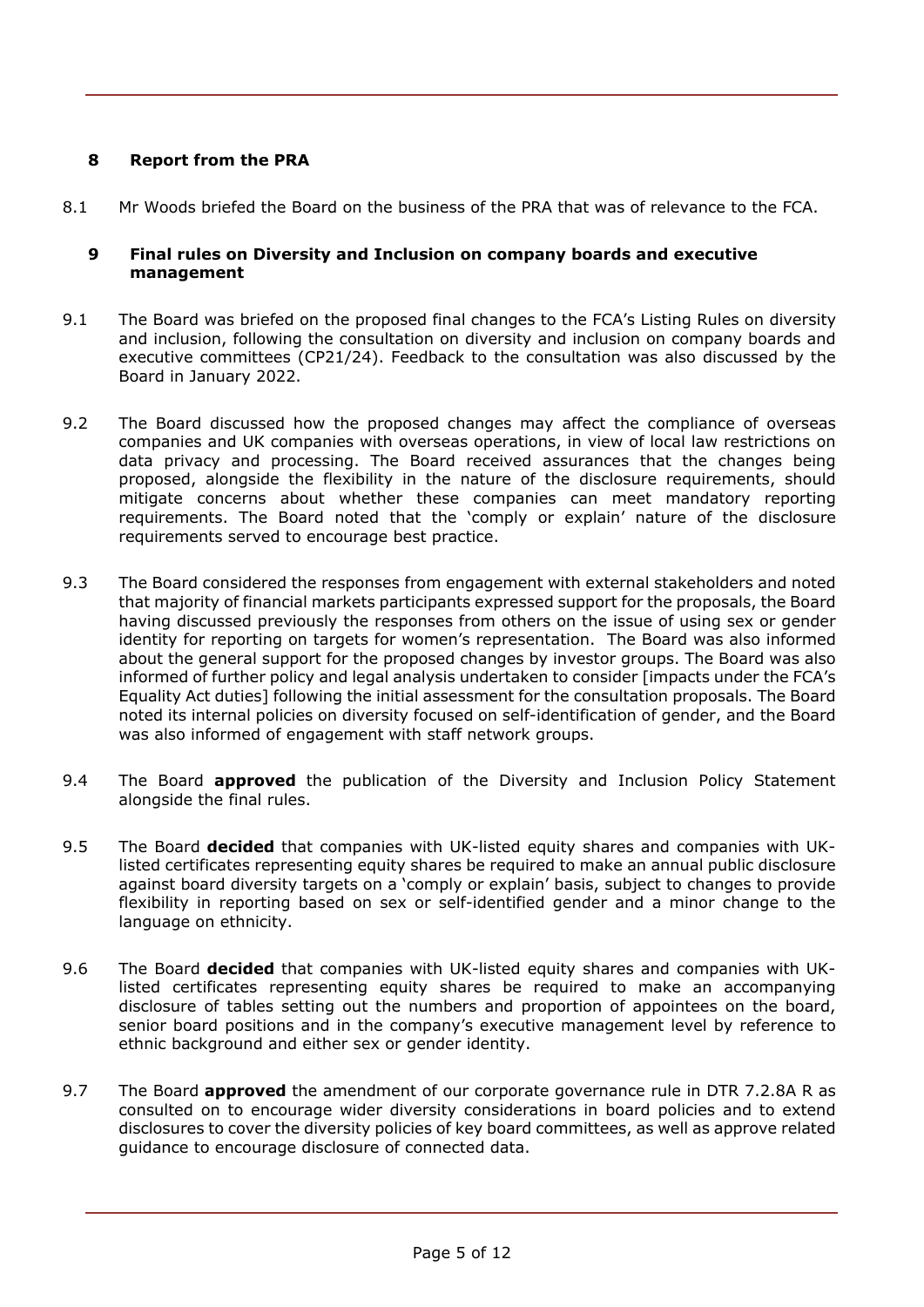## **8 Report from the PRA**

8.1 Mr Woods briefed the Board on the business of the PRA that was of relevance to the FCA.

#### **9 Final rules on Diversity and Inclusion on company boards and executive management**

- 9.1 The Board was briefed on the proposed final changes to the FCA's Listing Rules on diversity and inclusion, following the consultation on diversity and inclusion on company boards and executive committees (CP21/24). Feedback to the consultation was also discussed by the Board in January 2022.
- 9.2 The Board discussed how the proposed changes may affect the compliance of overseas companies and UK companies with overseas operations, in view of local law restrictions on data privacy and processing. The Board received assurances that the changes being proposed, alongside the flexibility in the nature of the disclosure requirements, should mitigate concerns about whether these companies can meet mandatory reporting requirements. The Board noted that the 'comply or explain' nature of the disclosure requirements served to encourage best practice.
- 9.3 The Board considered the responses from engagement with external stakeholders and noted that majority of financial markets participants expressed support for the proposals, the Board having discussed previously the responses from others on the issue of using sex or gender identity for reporting on targets for women's representation. The Board was also informed about the general support for the proposed changes by investor groups. The Board was also informed of further policy and legal analysis undertaken to consider [impacts under the FCA's Equality Act duties] following the initial assessment for the consultation proposals. The Board noted its internal policies on diversity focused on self-identification of gender, and the Board was also informed of engagement with staff network groups.
- 9.4 The Board **approved** the publication of the Diversity and Inclusion Policy Statement alongside the final rules.
- 9.5 The Board **decided** that companies with UK-listed equity shares and companies with UKlisted certificates representing equity shares be required to make an annual public disclosure against board diversity targets on a 'comply or explain' basis, subject to changes to provide flexibility in reporting based on sex or self-identified gender and a minor change to the language on ethnicity.
- 9.6 The Board **decided** that companies with UK-listed equity shares and companies with UKlisted certificates representing equity shares be required to make an accompanying disclosure of tables setting out the numbers and proportion of appointees on the board, senior board positions and in the company's executive management level by reference to ethnic background and either sex or gender identity.
- 9.7 The Board **approved** the amendment of our corporate governance rule in DTR 7.2.8A R as consulted on to encourage wider diversity considerations in board policies and to extend disclosures to cover the diversity policies of key board committees, as well as approve related guidance to encourage disclosure of connected data.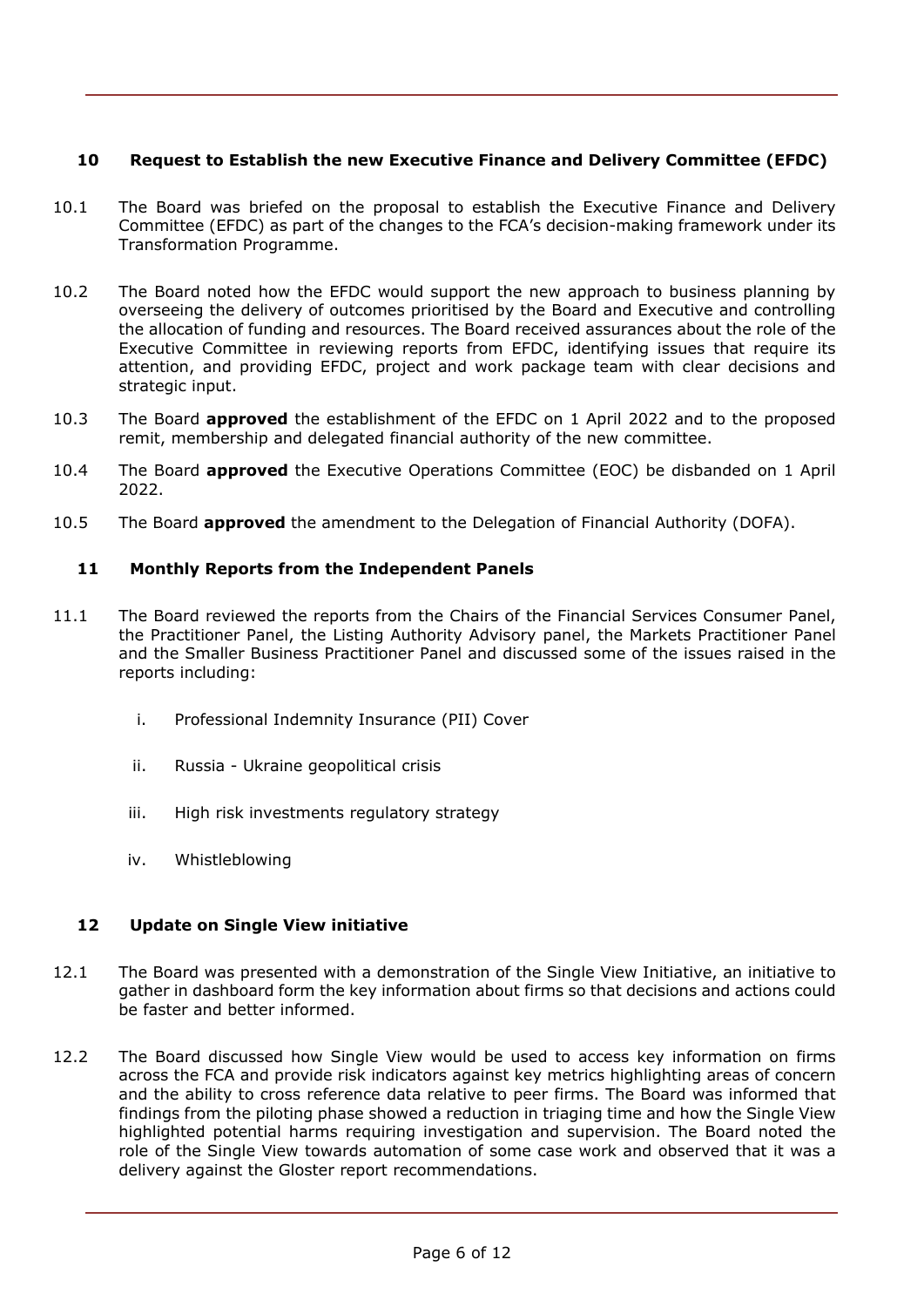## **10 Request to Establish the new Executive Finance and Delivery Committee (EFDC)**

- 10.1 The Board was briefed on the proposal to establish the Executive Finance and Delivery Committee (EFDC) as part of the changes to the FCA's decision-making framework under its Transformation Programme.
- 10.2 The Board noted how the EFDC would support the new approach to business planning by overseeing the delivery of outcomes prioritised by the Board and Executive and controlling the allocation of funding and resources. The Board received assurances about the role of the Executive Committee in reviewing reports from EFDC, identifying issues that require its attention, and providing EFDC, project and work package team with clear decisions and strategic input.
- 10.3 The Board **approved** the establishment of the EFDC on 1 April 2022 and to the proposed remit, membership and delegated financial authority of the new committee.
- 10.4 The Board **approved** the Executive Operations Committee (EOC) be disbanded on 1 April 2022.
- 10.5 The Board **approved** the amendment to the Delegation of Financial Authority (DOFA).

### **11 Monthly Reports from the Independent Panels**

- 11.1 The Board reviewed the reports from the Chairs of the Financial Services Consumer Panel, the Practitioner Panel, the Listing Authority Advisory panel, the Markets Practitioner Panel and the Smaller Business Practitioner Panel and discussed some of the issues raised in the reports including:
	- i. Professional Indemnity Insurance (PII) Cover
	- ii. Russia Ukraine geopolitical crisis
	- iii. High risk investments regulatory strategy
	- iv. Whistleblowing

### **12 Update on Single View initiative**

- 12.1 The Board was presented with a demonstration of the Single View Initiative, an initiative to gather in dashboard form the key information about firms so that decisions and actions could be faster and better informed.
- 12.2 The Board discussed how Single View would be used to access key information on firms across the FCA and provide risk indicators against key metrics highlighting areas of concern and the ability to cross reference data relative to peer firms. The Board was informed that findings from the piloting phase showed a reduction in triaging time and how the Single View highlighted potential harms requiring investigation and supervision. The Board noted the role of the Single View towards automation of some case work and observed that it was a delivery against the Gloster report recommendations.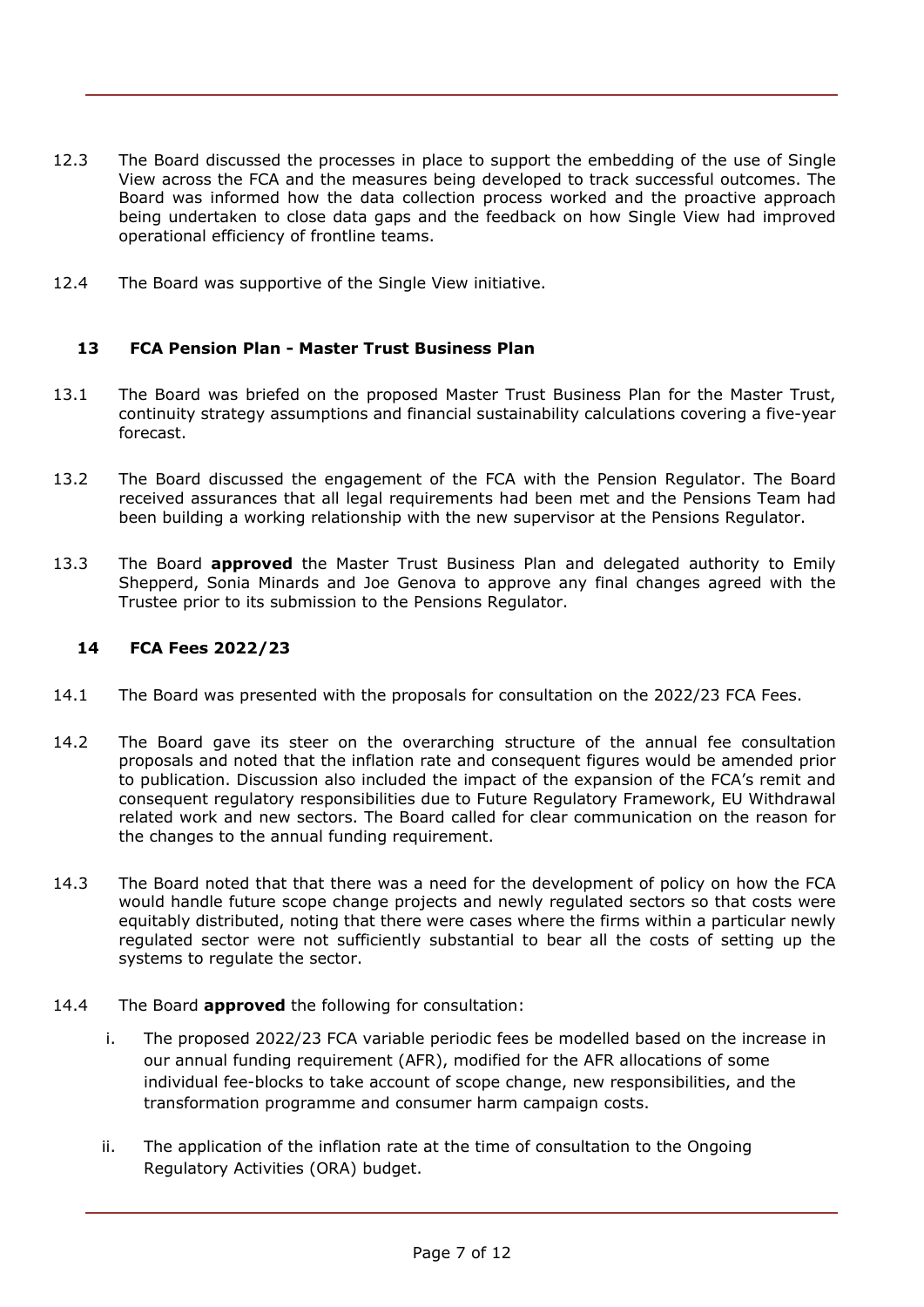- 12.3 The Board discussed the processes in place to support the embedding of the use of Single View across the FCA and the measures being developed to track successful outcomes. The Board was informed how the data collection process worked and the proactive approach being undertaken to close data gaps and the feedback on how Single View had improved operational efficiency of frontline teams.
- 12.4 The Board was supportive of the Single View initiative.

### **13 FCA Pension Plan - Master Trust Business Plan**

- 13.1 The Board was briefed on the proposed Master Trust Business Plan for the Master Trust, continuity strategy assumptions and financial sustainability calculations covering a five-year forecast.
- 13.2 The Board discussed the engagement of the FCA with the Pension Regulator. The Board received assurances that all legal requirements had been met and the Pensions Team had been building a working relationship with the new supervisor at the Pensions Regulator.
- 13.3 The Board **approved** the Master Trust Business Plan and delegated authority to Emily Shepperd, Sonia Minards and Joe Genova to approve any final changes agreed with the Trustee prior to its submission to the Pensions Regulator.

#### **14 FCA Fees 2022/23**

- 14.1 The Board was presented with the proposals for consultation on the 2022/23 FCA Fees.
- 14.2 The Board gave its steer on the overarching structure of the annual fee consultation proposals and noted that the inflation rate and consequent figures would be amended prior to publication. Discussion also included the impact of the expansion of the FCA's remit and consequent regulatory responsibilities due to Future Regulatory Framework, EU Withdrawal related work and new sectors. The Board called for clear communication on the reason for the changes to the annual funding requirement.
- 14.3 The Board noted that that there was a need for the development of policy on how the FCA would handle future scope change projects and newly regulated sectors so that costs were equitably distributed, noting that there were cases where the firms within a particular newly regulated sector were not sufficiently substantial to bear all the costs of setting up the systems to regulate the sector.
- 14.4 The Board **approved** the following for consultation:
	- i. The proposed 2022/23 FCA variable periodic fees be modelled based on the increase in our annual funding requirement (AFR), modified for the AFR allocations of some individual fee-blocks to take account of scope change, new responsibilities, and the transformation programme and consumer harm campaign costs.
	- ii. The application of the inflation rate at the time of consultation to the Ongoing Regulatory Activities (ORA) budget.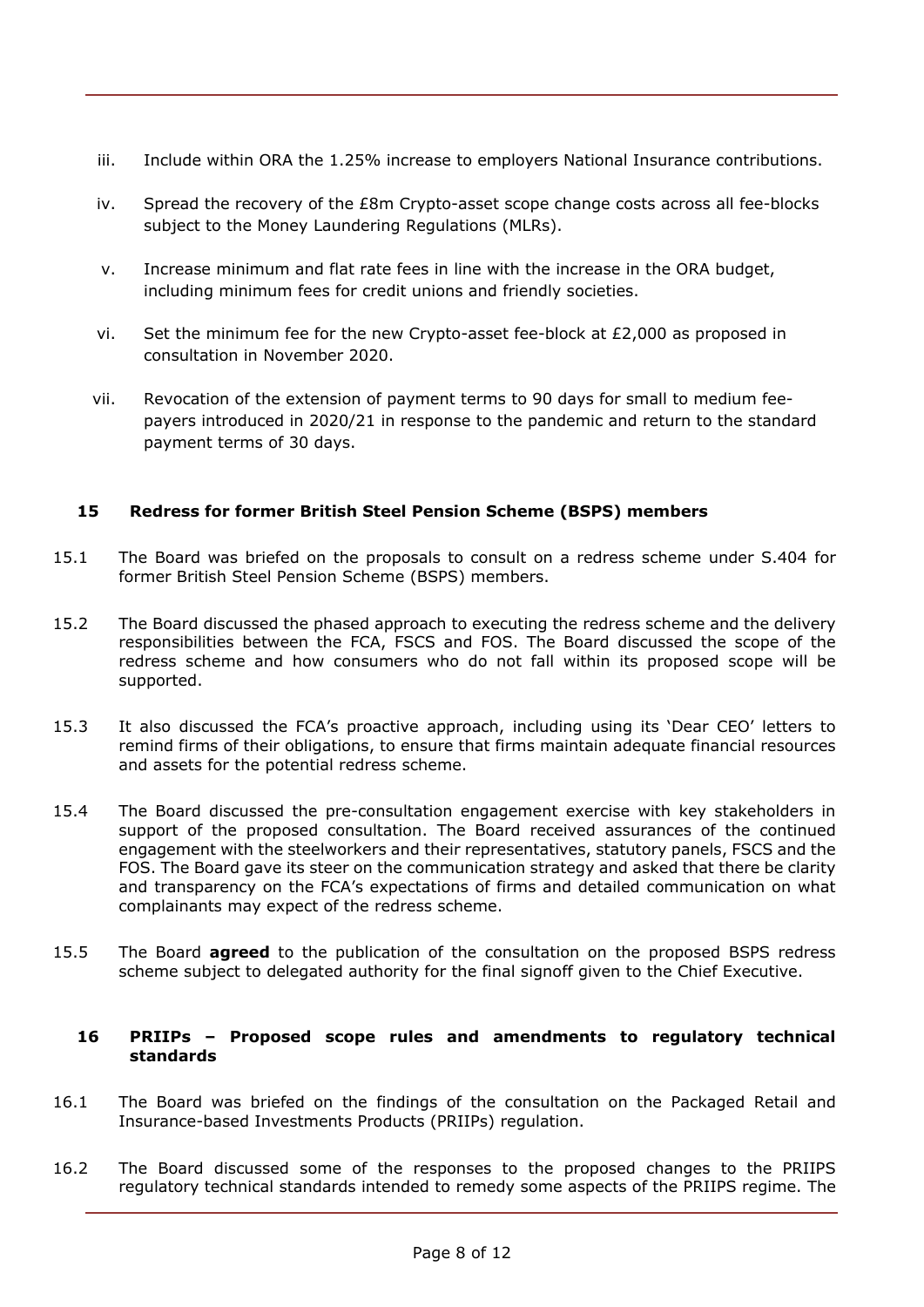- iii. Include within ORA the 1.25% increase to employers National Insurance contributions.
- iv. Spread the recovery of the £8m Crypto-asset scope change costs across all fee-blocks subject to the Money Laundering Regulations (MLRs).
- v. Increase minimum and flat rate fees in line with the increase in the ORA budget, including minimum fees for credit unions and friendly societies.
- vi. Set the minimum fee for the new Crypto-asset fee-block at £2,000 as proposed in consultation in November 2020.
- vii. Revocation of the extension of payment terms to 90 days for small to medium feepayers introduced in 2020/21 in response to the pandemic and return to the standard payment terms of 30 days.

## **15 Redress for former British Steel Pension Scheme (BSPS) members**

- 15.1 The Board was briefed on the proposals to consult on a redress scheme under S.404 for former British Steel Pension Scheme (BSPS) members.
- 15.2 The Board discussed the phased approach to executing the redress scheme and the delivery responsibilities between the FCA, FSCS and FOS. The Board discussed the scope of the redress scheme and how consumers who do not fall within its proposed scope will be supported.
- 15.3 It also discussed the FCA's proactive approach, including using its 'Dear CEO' letters to remind firms of their obligations, to ensure that firms maintain adequate financial resources and assets for the potential redress scheme.
- 15.4 The Board discussed the pre-consultation engagement exercise with key stakeholders in support of the proposed consultation. The Board received assurances of the continued engagement with the steelworkers and their representatives, statutory panels, FSCS and the FOS. The Board gave its steer on the communication strategy and asked that there be clarity and transparency on the FCA's expectations of firms and detailed communication on what complainants may expect of the redress scheme.
- 15.5 The Board **agreed** to the publication of the consultation on the proposed BSPS redress scheme subject to delegated authority for the final signoff given to the Chief Executive.

#### **16 PRIIPs – Proposed scope rules and amendments to regulatory technical standards**

- 16.1 The Board was briefed on the findings of the consultation on the Packaged Retail and Insurance-based Investments Products (PRIIPs) regulation.
- 16.2 The Board discussed some of the responses to the proposed changes to the PRIIPS regulatory technical standards intended to remedy some aspects of the PRIIPS regime. The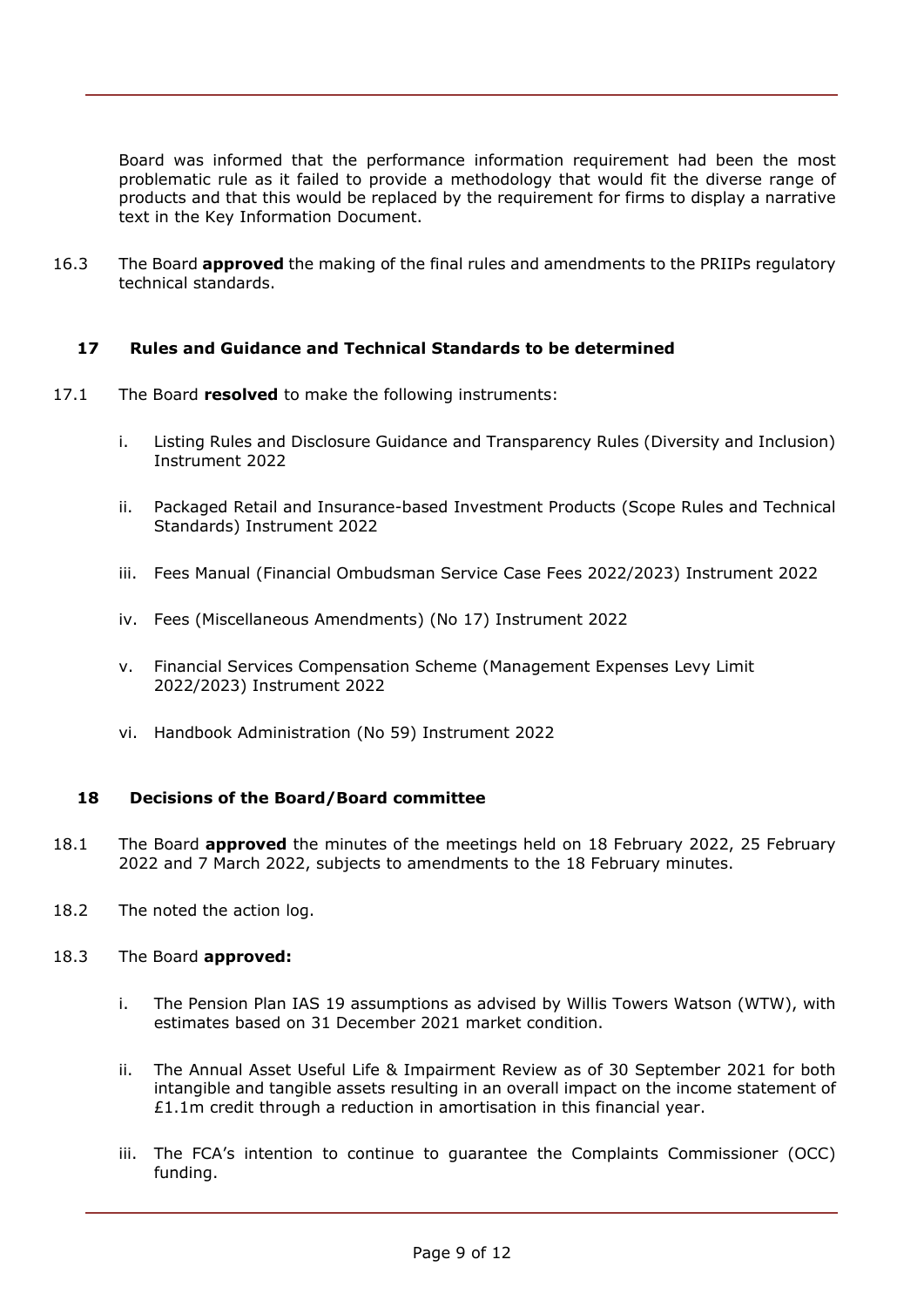Board was informed that the performance information requirement had been the most problematic rule as it failed to provide a methodology that would fit the diverse range of products and that this would be replaced by the requirement for firms to display a narrative text in the Key Information Document.

16.3 The Board **approved** the making of the final rules and amendments to the PRIIPs regulatory technical standards.

### **17 Rules and Guidance and Technical Standards to be determined**

- 17.1 The Board **resolved** to make the following instruments:
	- i. Listing Rules and Disclosure Guidance and Transparency Rules (Diversity and Inclusion) Instrument 2022
	- ii. Packaged Retail and Insurance-based Investment Products (Scope Rules and Technical Standards) Instrument 2022
	- iii. Fees Manual (Financial Ombudsman Service Case Fees 2022/2023) Instrument 2022
	- iv. Fees (Miscellaneous Amendments) (No 17) Instrument 2022
	- v. Financial Services Compensation Scheme (Management Expenses Levy Limit 2022/2023) Instrument 2022
	- vi. Handbook Administration (No 59) Instrument 2022

#### **18 Decisions of the Board/Board committee**

- 18.1 The Board **approved** the minutes of the meetings held on 18 February 2022, 25 February 2022 and 7 March 2022, subjects to amendments to the 18 February minutes.
- 18.2 The noted the action log.

#### 18.3 The Board **approved:**

- i. The Pension Plan IAS 19 assumptions as advised by Willis Towers Watson (WTW), with estimates based on 31 December 2021 market condition.
- ii. The Annual Asset Useful Life & Impairment Review as of 30 September 2021 for both intangible and tangible assets resulting in an overall impact on the income statement of  $£1.1m$  credit through a reduction in amortisation in this financial year.
- iii. The FCA's intention to continue to guarantee the Complaints Commissioner (OCC) funding.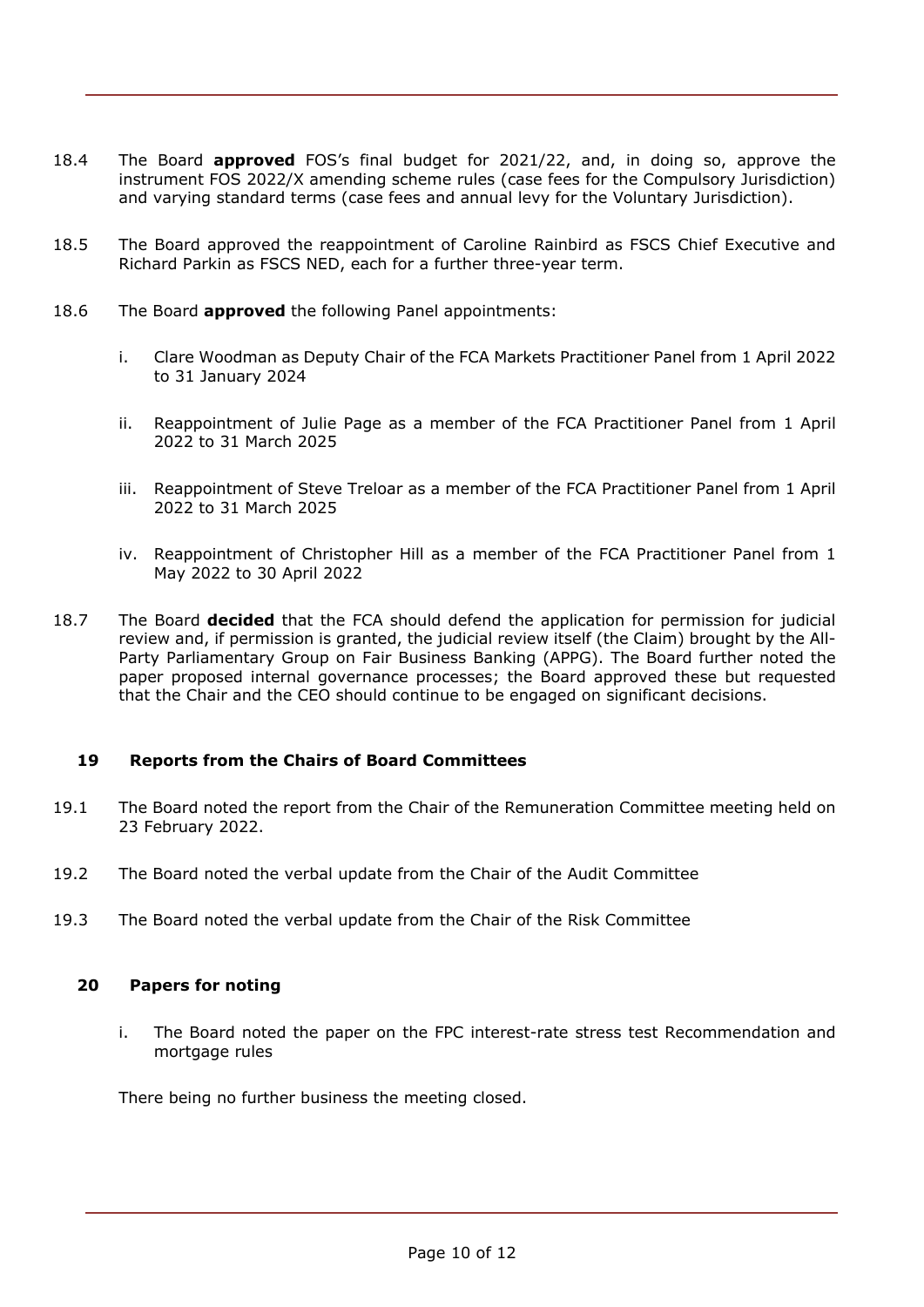- 18.4 The Board **approved** FOS's final budget for 2021/22, and, in doing so, approve the instrument FOS 2022/X amending scheme rules (case fees for the Compulsory Jurisdiction) and varying standard terms (case fees and annual levy for the Voluntary Jurisdiction).
- 18.5 The Board approved the reappointment of Caroline Rainbird as FSCS Chief Executive and Richard Parkin as FSCS NED, each for a further three-year term.
- 18.6 The Board **approved** the following Panel appointments:
	- i. Clare Woodman as Deputy Chair of the FCA Markets Practitioner Panel from 1 April 2022 to 31 January 2024
	- ii. Reappointment of Julie Page as a member of the FCA Practitioner Panel from 1 April 2022 to 31 March 2025
	- iii. Reappointment of Steve Treloar as a member of the FCA Practitioner Panel from 1 April 2022 to 31 March 2025
	- iv. Reappointment of Christopher Hill as a member of the FCA Practitioner Panel from 1 May 2022 to 30 April 2022
- 18.7 The Board **decided** that the FCA should defend the application for permission for judicial review and, if permission is granted, the judicial review itself (the Claim) brought by the All-Party Parliamentary Group on Fair Business Banking (APPG). The Board further noted the paper proposed internal governance processes; the Board approved these but requested that the Chair and the CEO should continue to be engaged on significant decisions.

### **19 Reports from the Chairs of Board Committees**

- 19.1 The Board noted the report from the Chair of the Remuneration Committee meeting held on 23 February 2022.
- 19.2 The Board noted the verbal update from the Chair of the Audit Committee
- 19.3 The Board noted the verbal update from the Chair of the Risk Committee

#### **20 Papers for noting**

i. The Board noted the paper on the FPC interest-rate stress test Recommendation and mortgage rules

There being no further business the meeting closed.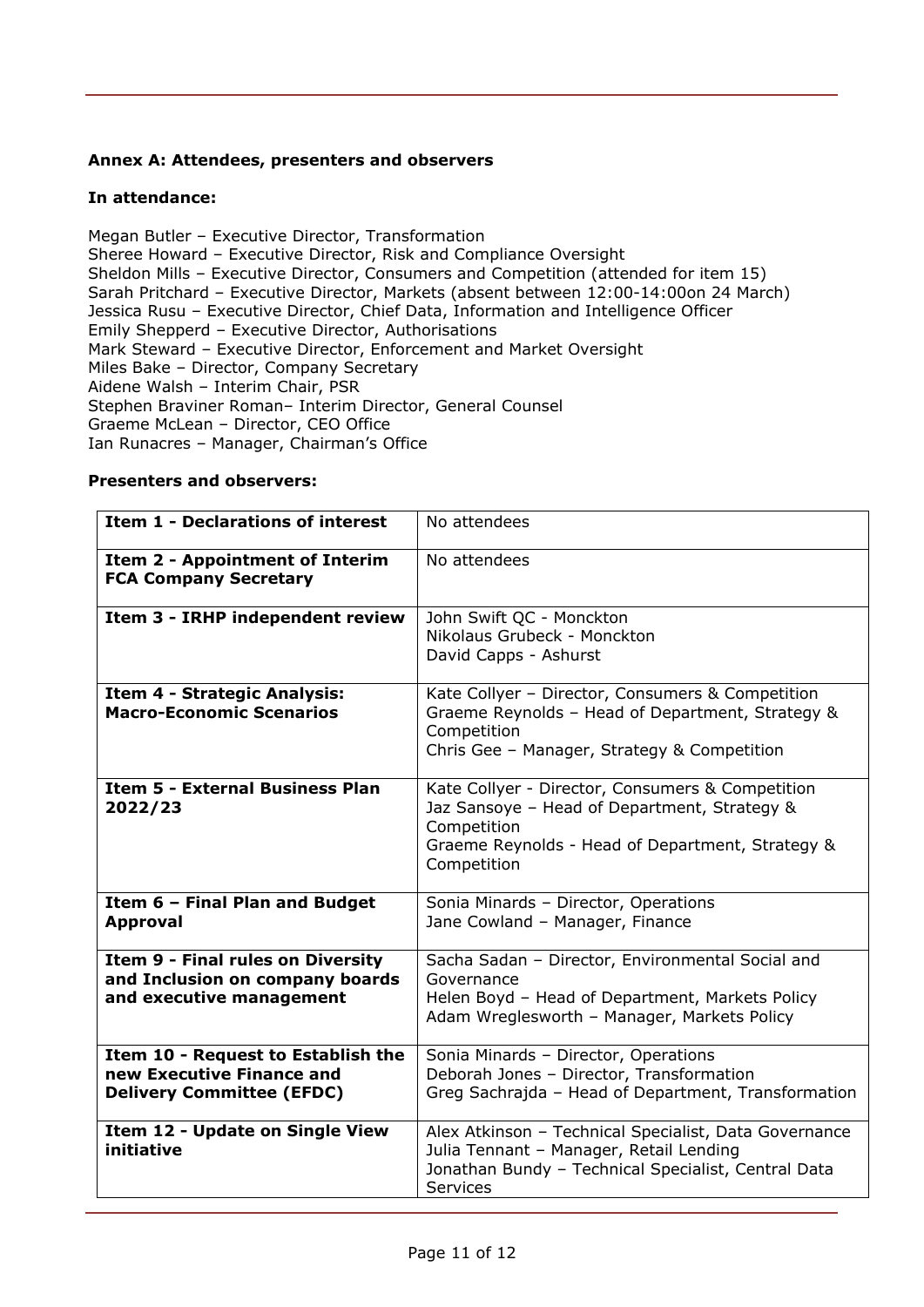### **Annex A: Attendees, presenters and observers**

### **In attendance:**

Megan Butler – Executive Director, Transformation Sheree Howard – Executive Director, Risk and Compliance Oversight Sheldon Mills – Executive Director, Consumers and Competition (attended for item 15) Sarah Pritchard – Executive Director, Markets (absent between 12:00-14:00on 24 March) Jessica Rusu – Executive Director, Chief Data, Information and Intelligence Officer Emily Shepperd – Executive Director, Authorisations Mark Steward – Executive Director, Enforcement and Market Oversight Miles Bake – Director, Company Secretary Aidene Walsh – Interim Chair, PSR Stephen Braviner Roman– Interim Director, General Counsel Graeme McLean – Director, CEO Office Ian Runacres – Manager, Chairman's Office

#### **Presenters and observers:**

| <b>Item 1 - Declarations of interest</b>                                                                | No attendees                                                                                                                                                                       |
|---------------------------------------------------------------------------------------------------------|------------------------------------------------------------------------------------------------------------------------------------------------------------------------------------|
| <b>Item 2 - Appointment of Interim</b><br><b>FCA Company Secretary</b>                                  | No attendees                                                                                                                                                                       |
| Item 3 - IRHP independent review                                                                        | John Swift QC - Monckton<br>Nikolaus Grubeck - Monckton<br>David Capps - Ashurst                                                                                                   |
| Item 4 - Strategic Analysis:<br><b>Macro-Economic Scenarios</b>                                         | Kate Collyer - Director, Consumers & Competition<br>Graeme Reynolds - Head of Department, Strategy &<br>Competition<br>Chris Gee - Manager, Strategy & Competition                 |
| <b>Item 5 - External Business Plan</b><br>2022/23                                                       | Kate Collyer - Director, Consumers & Competition<br>Jaz Sansoye - Head of Department, Strategy &<br>Competition<br>Graeme Reynolds - Head of Department, Strategy &<br>Competition |
| Item 6 - Final Plan and Budget<br><b>Approval</b>                                                       | Sonia Minards - Director, Operations<br>Jane Cowland - Manager, Finance                                                                                                            |
| <b>Item 9 - Final rules on Diversity</b><br>and Inclusion on company boards<br>and executive management | Sacha Sadan - Director, Environmental Social and<br>Governance<br>Helen Boyd - Head of Department, Markets Policy<br>Adam Wreglesworth - Manager, Markets Policy                   |
| Item 10 - Request to Establish the<br>new Executive Finance and<br><b>Delivery Committee (EFDC)</b>     | Sonia Minards - Director, Operations<br>Deborah Jones - Director, Transformation<br>Greg Sachrajda - Head of Department, Transformation                                            |
| Item 12 - Update on Single View<br>initiative                                                           | Alex Atkinson - Technical Specialist, Data Governance<br>Julia Tennant - Manager, Retail Lending<br>Jonathan Bundy - Technical Specialist, Central Data<br><b>Services</b>         |